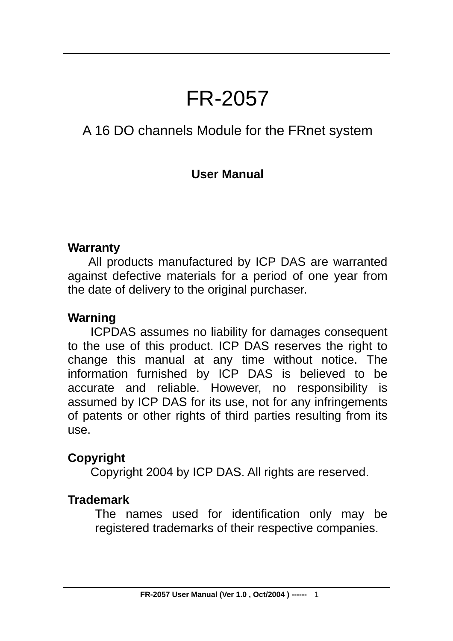# FR-2057

### A 16 DO channels Module for the FRnet system

#### **User Manual**

#### **Warranty**

All products manufactured by ICP DAS are warranted against defective materials for a period of one year from the date of delivery to the original purchaser.

#### **Warning**

ICPDAS assumes no liability for damages consequent to the use of this product. ICP DAS reserves the right to change this manual at any time without notice. The information furnished by ICP DAS is believed to be accurate and reliable. However, no responsibility is assumed by ICP DAS for its use, not for any infringements of patents or other rights of third parties resulting from its use.

### **Copyright**

Copyright 2004 by ICP DAS. All rights are reserved.

#### **Trademark**

The names used for identification only may be registered trademarks of their respective companies.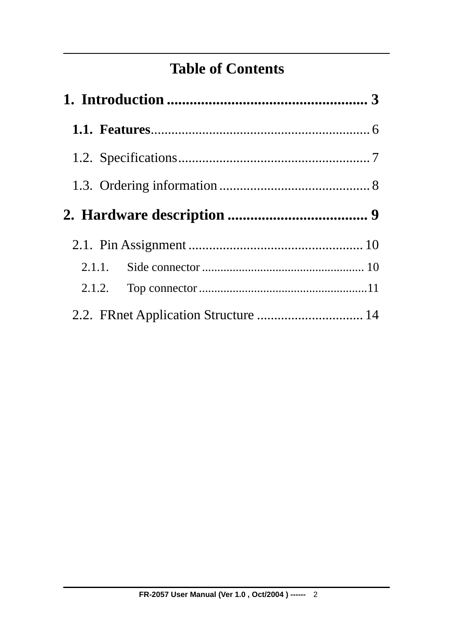### **Table of Contents**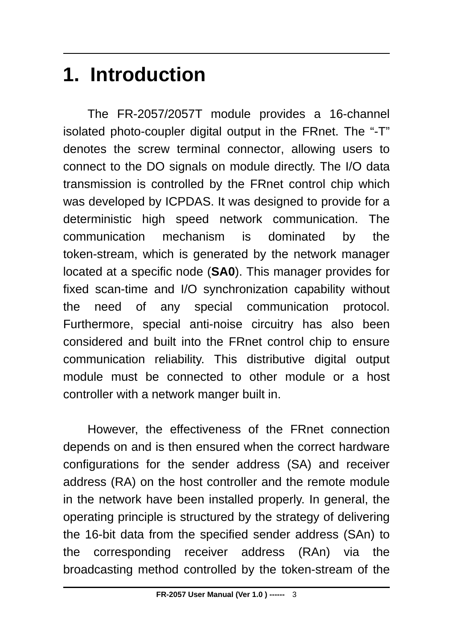# <span id="page-2-0"></span>**1. Introduction**

The FR-2057/2057T module provides a 16-channel isolated photo-coupler digital output in the FRnet. The "-T" denotes the screw terminal connector, allowing users to connect to the DO signals on module directly. The I/O data transmission is controlled by the FRnet control chip which was developed by ICPDAS. It was designed to provide for a deterministic high speed network communication. The communication mechanism is dominated by the token-stream, which is generated by the network manager located at a specific node (**SA0**). This manager provides for fixed scan-time and I/O synchronization capability without the need of any special communication protocol. Furthermore, special anti-noise circuitry has also been considered and built into the FRnet control chip to ensure communication reliability. This distributive digital output module must be connected to other module or a host controller with a network manger built in.

However, the effectiveness of the FRnet connection depends on and is then ensured when the correct hardware configurations for the sender address (SA) and receiver address (RA) on the host controller and the remote module in the network have been installed properly. In general, the operating principle is structured by the strategy of delivering the 16-bit data from the specified sender address (SAn) to the corresponding receiver address (RAn) via the broadcasting method controlled by the token-stream of the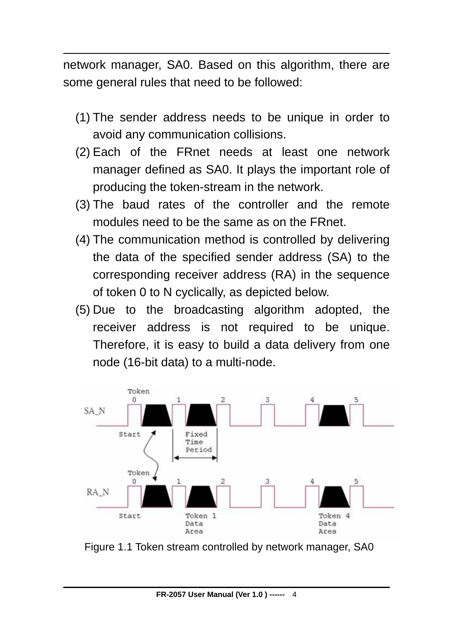network manager, SA0. Based on this algorithm, there are some general rules that need to be followed:

- (1) The sender address needs to be unique in order to avoid any communication collisions.
- (2) Each of the FRnet needs at least one network manager defined as SA0. It plays the important role of producing the token-stream in the network.
- (3) The baud rates of the controller and the remote modules need to be the same as on the FRnet.
- (4) The communication method is controlled by delivering the data of the specified sender address (SA) to the corresponding receiver address (RA) in the sequence of token 0 to N cyclically, as depicted below.
- (5) Due to the broadcasting algorithm adopted, the receiver address is not required to be unique. Therefore, it is easy to build a data delivery from one node (16-bit data) to a multi-node.



Figure 1.1 Token stream controlled by network manager, SA0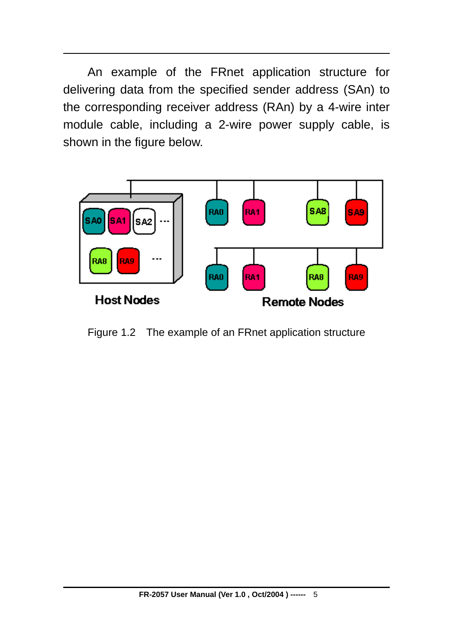An example of the FRnet application structure for delivering data from the specified sender address (SAn) to the corresponding receiver address (RAn) by a 4-wire inter module cable, including a 2-wire power supply cable, is shown in the figure below.



Figure 1.2 The example of an FRnet application structure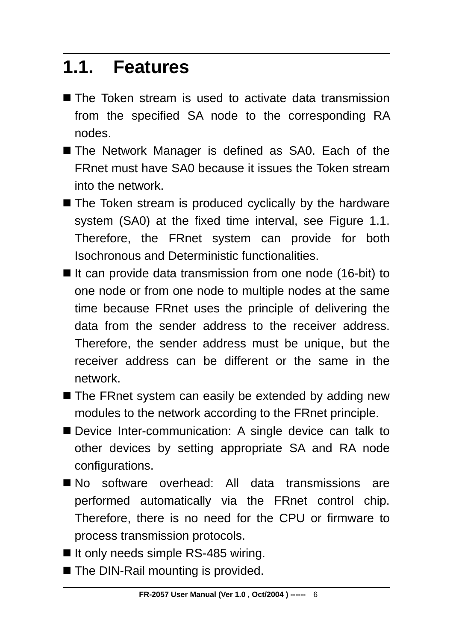### <span id="page-5-0"></span>**1.1. Features**

- The Token stream is used to activate data transmission from the specified SA node to the corresponding RA nodes.
- The Network Manager is defined as SA0. Each of the FRnet must have SA0 because it issues the Token stream into the network.
- The Token stream is produced cyclically by the hardware system (SA0) at the fixed time interval, see Figure 1.1. Therefore, the FRnet system can provide for both Isochronous and Deterministic functionalities.
- $\blacksquare$  It can provide data transmission from one node (16-bit) to one node or from one node to multiple nodes at the same time because FRnet uses the principle of delivering the data from the sender address to the receiver address. Therefore, the sender address must be unique, but the receiver address can be different or the same in the network.
- The FRnet system can easily be extended by adding new modules to the network according to the FRnet principle.
- Device Inter-communication: A single device can talk to other devices by setting appropriate SA and RA node configurations.
- No software overhead: All data transmissions are performed automatically via the FRnet control chip. Therefore, there is no need for the CPU or firmware to process transmission protocols.
- It only needs simple RS-485 wiring.
- The DIN-Rail mounting is provided.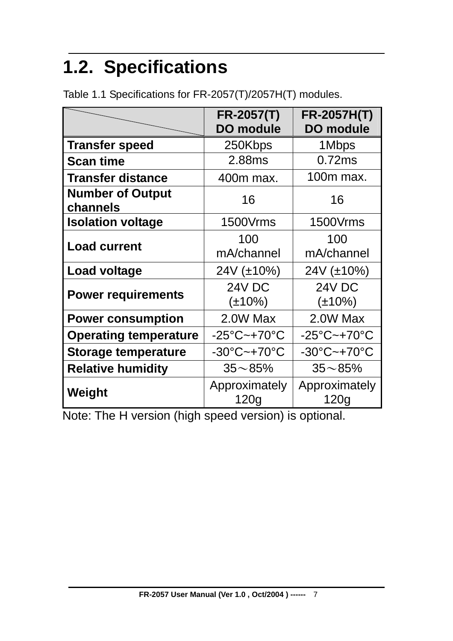# <span id="page-6-0"></span>**1.2. Specifications**

|                                     | <b>FR-2057(T)</b><br><b>DO module</b> | <b>FR-2057H(T)</b><br><b>DO module</b> |
|-------------------------------------|---------------------------------------|----------------------------------------|
| <b>Transfer speed</b>               | 250Kbps                               | 1Mbps                                  |
| <b>Scan time</b>                    | 2.88ms                                | 0.72ms                                 |
| <b>Transfer distance</b>            | 400m max.                             | 100m max.                              |
| <b>Number of Output</b><br>channels | 16                                    | 16                                     |
| <b>Isolation voltage</b>            | 1500Vrms                              | 1500Vrms                               |
| <b>Load current</b>                 | 100<br>mA/channel                     | 100<br>mA/channel                      |
| Load voltage                        | 24V (±10%)                            | $24V (\pm 10\%)$                       |
| <b>Power requirements</b>           | <b>24V DC</b><br>$(\pm 10\%)$         | 24V DC<br>$(\pm 10\%)$                 |
| <b>Power consumption</b>            | 2.0W Max                              | 2.0W Max                               |
| <b>Operating temperature</b>        | $-25^{\circ}$ C~+70 $^{\circ}$ C      | $-25^{\circ}$ C~+70 $^{\circ}$ C       |
| <b>Storage temperature</b>          | $-30^{\circ}$ C $-+70^{\circ}$ C      | $-30^{\circ}$ C $-+70^{\circ}$ C       |
| <b>Relative humidity</b>            | $35 - 85%$                            | $35 - 85%$                             |
| Weight                              | Approximately<br>120g                 | Approximately<br>120g                  |

Table 1.1 Specifications for FR-2057(T)/2057H(T) modules.

Note: The H version (high speed version) is optional.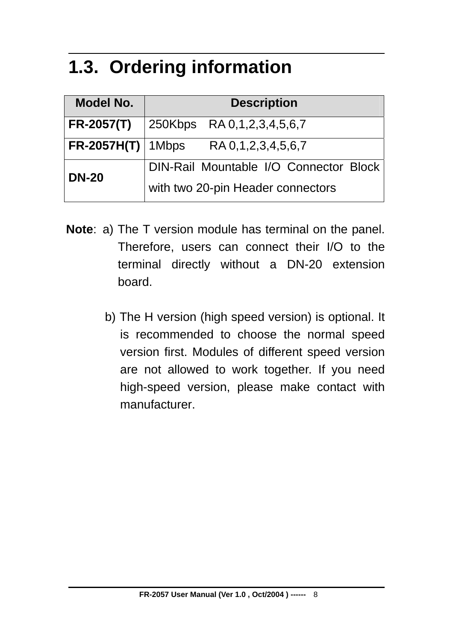### <span id="page-7-0"></span>**1.3. Ordering information**

| Model No.             | <b>Description</b>                     |
|-----------------------|----------------------------------------|
| <b>FR-2057(T)</b>     | $ 250Kbps$ RA 0,1,2,3,4,5,6,7          |
| $FR-2057H(T)$   1Mbps | RA 0,1,2,3,4,5,6,7                     |
| <b>DN-20</b>          | DIN-Rail Mountable I/O Connector Block |
|                       | with two 20-pin Header connectors      |

- **Note**: a) The T version module has terminal on the panel. Therefore, users can connect their I/O to the terminal directly without a DN-20 extension board.
	- b) The H version (high speed version) is optional. It is recommended to choose the normal speed version first. Modules of different speed version are not allowed to work together. If you need high-speed version, please make contact with manufacturer.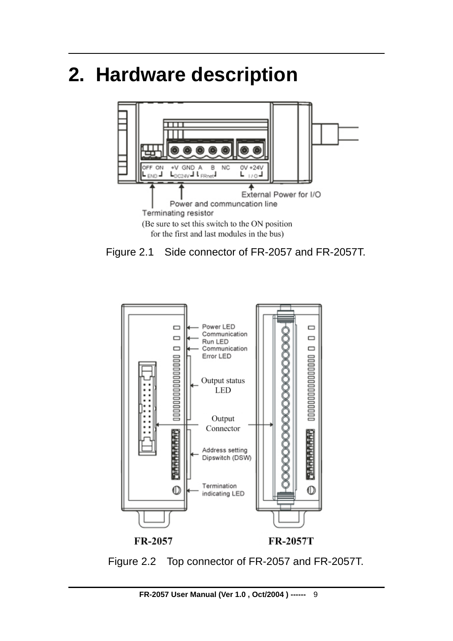## <span id="page-8-0"></span>**2. Hardware description**







Figure 2.2 Top connector of FR-2057 and FR-2057T.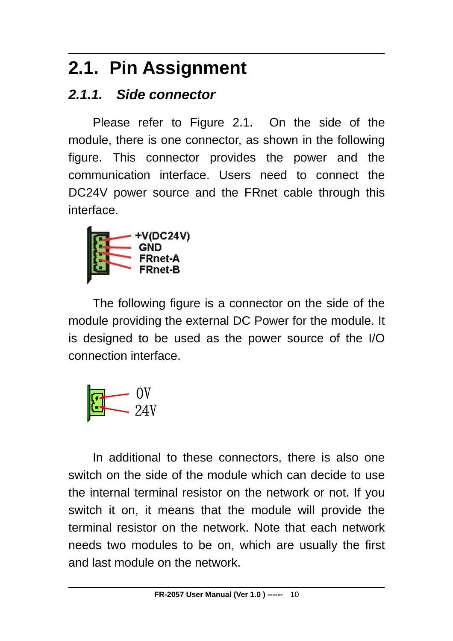## <span id="page-9-0"></span>**2.1. Pin Assignment**

### *2.1.1. Side connector*

Please refer to Figure 2.1. On the side of the module, there is one connector, as shown in the following figure. This connector provides the power and the communication interface. Users need to connect the DC24V power source and the FRnet cable through this interface.



The following figure is a connector on the side of the module providing the external DC Power for the module. It is designed to be used as the power source of the I/O connection interface.



In additional to these connectors, there is also one switch on the side of the module which can decide to use the internal terminal resistor on the network or not. If you switch it on, it means that the module will provide the terminal resistor on the network. Note that each network needs two modules to be on, which are usually the first and last module on the network.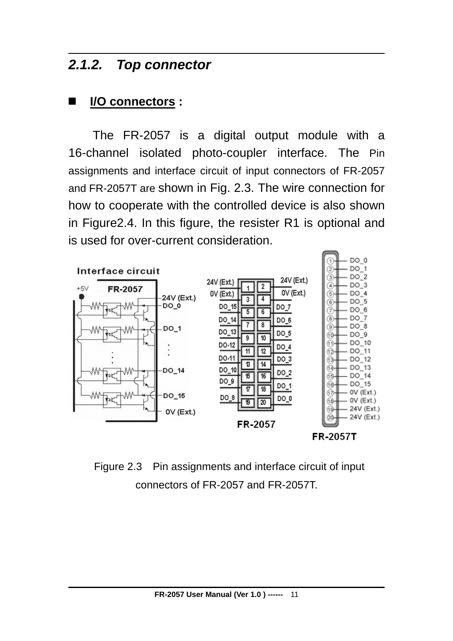#### <span id="page-10-0"></span>*2.1.2. Top connector*

#### **I/O connectors :**

The FR-2057 is a digital output module with a 16-channel isolated photo-coupler interface. The Pin assignments and interface circuit of input connectors of FR-2057 and FR-2057T are shown in Fig. 2.3. The wire connection for how to cooperate with the controlled device is also shown in Figure2.4. In this figure, the resister R1 is optional and is used for over-current consideration.



Figure 2.3 Pin assignments and interface circuit of input connectors of FR-2057 and FR-2057T.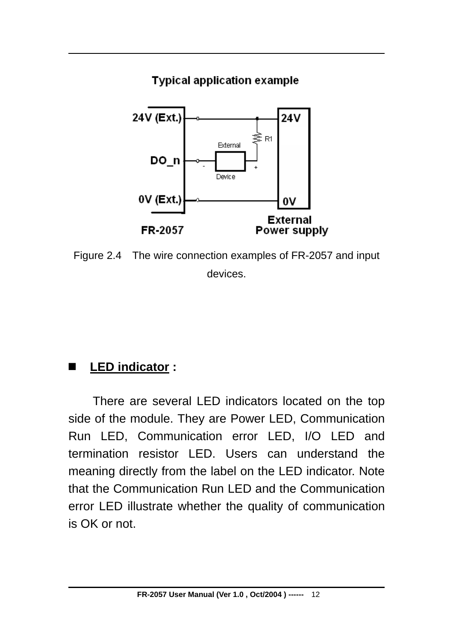#### **Typical application example**



Figure 2.4 The wire connection examples of FR-2057 and input devices.

### **LED indicator :**

There are several LED indicators located on the top side of the module. They are Power LED, Communication Run LED, Communication error LED, I/O LED and termination resistor LED. Users can understand the meaning directly from the label on the LED indicator. Note that the Communication Run LED and the Communication error LED illustrate whether the quality of communication is OK or not.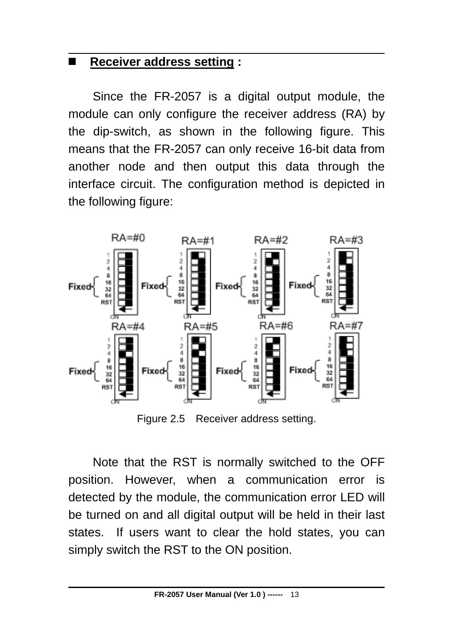#### **Receiver address setting :**

Since the FR-2057 is a digital output module, the module can only configure the receiver address (RA) by the dip-switch, as shown in the following figure. This means that the FR-2057 can only receive 16-bit data from another node and then output this data through the interface circuit. The configuration method is depicted in the following figure:



Figure 2.5 Receiver address setting.

Note that the RST is normally switched to the OFF position. However, when a communication error is detected by the module, the communication error LED will be turned on and all digital output will be held in their last states. If users want to clear the hold states, you can simply switch the RST to the ON position.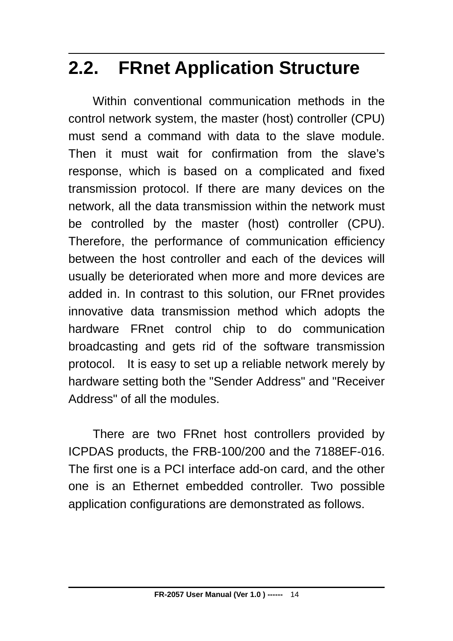## <span id="page-13-0"></span>**2.2. FRnet Application Structure**

Within conventional communication methods in the control network system, the master (host) controller (CPU) must send a command with data to the slave module. Then it must wait for confirmation from the slave's response, which is based on a complicated and fixed transmission protocol. If there are many devices on the network, all the data transmission within the network must be controlled by the master (host) controller (CPU). Therefore, the performance of communication efficiency between the host controller and each of the devices will usually be deteriorated when more and more devices are added in. In contrast to this solution, our FRnet provides innovative data transmission method which adopts the hardware FRnet control chip to do communication broadcasting and gets rid of the software transmission protocol. It is easy to set up a reliable network merely by hardware setting both the "Sender Address" and "Receiver Address" of all the modules.

There are two FRnet host controllers provided by ICPDAS products, the FRB-100/200 and the 7188EF-016. The first one is a PCI interface add-on card, and the other one is an Ethernet embedded controller. Two possible application configurations are demonstrated as follows.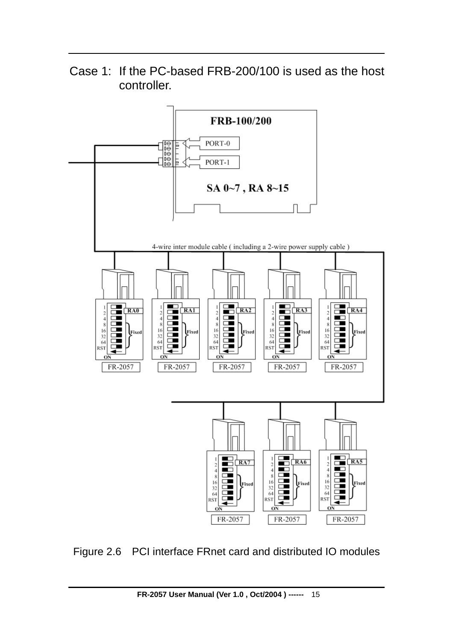Case 1: If the PC-based FRB-200/100 is used as the host controller.